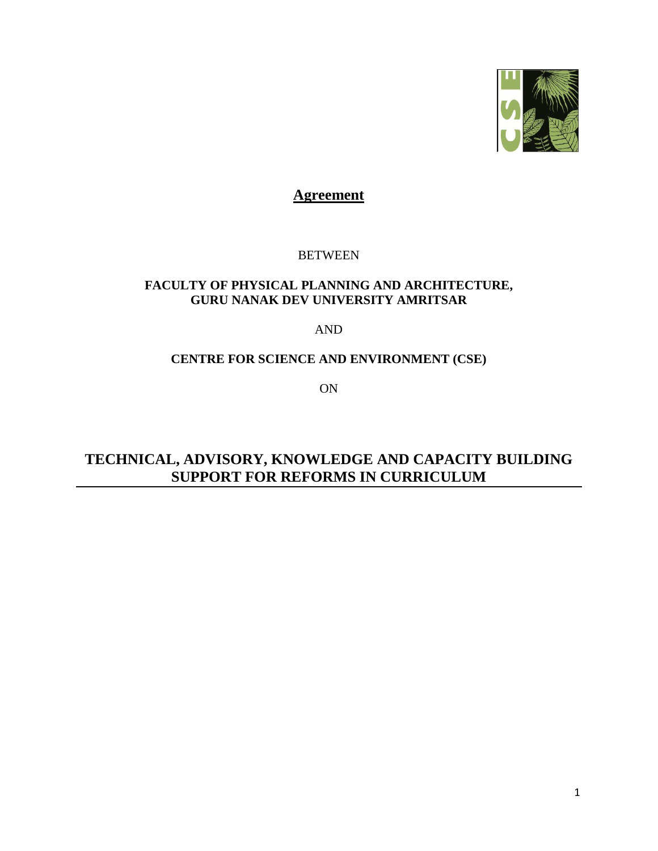

# **Agreement**

# **BETWEEN**

# **FACULTY OF PHYSICAL PLANNING AND ARCHITECTURE, GURU NANAK DEV UNIVERSITY AMRITSAR**

# AND

# **CENTRE FOR SCIENCE AND ENVIRONMENT (CSE)**

ON

**TECHNICAL, ADVISORY, KNOWLEDGE AND CAPACITY BUILDING SUPPORT FOR REFORMS IN CURRICULUM**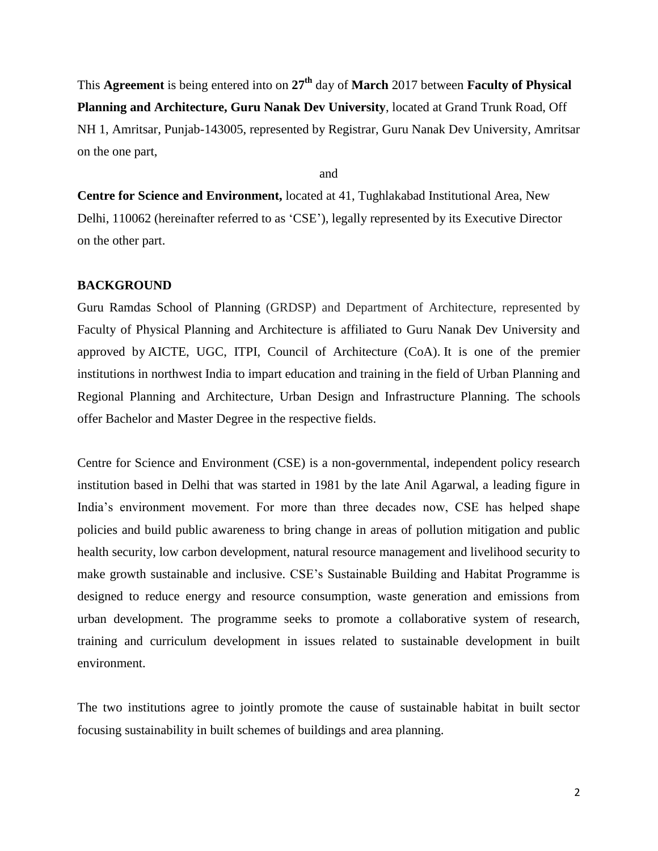This **Agreement** is being entered into on **27th** day of **March** 2017 between **Faculty of Physical Planning and Architecture, Guru Nanak Dev University**, located at Grand Trunk Road, Off NH 1, Amritsar, Punjab-143005, represented by Registrar, Guru Nanak Dev University, Amritsar on the one part,

and

**Centre for Science and Environment,** located at 41, Tughlakabad Institutional Area, New Delhi, 110062 (hereinafter referred to as 'CSE'), legally represented by its Executive Director on the other part.

#### **BACKGROUND**

Guru Ramdas School of Planning (GRDSP) and Department of Architecture, represented by Faculty of Physical Planning and Architecture is affiliated to Guru Nanak Dev University and approved by AICTE, UGC, ITPI, Council of Architecture (CoA). It is one of the premier institutions in northwest India to impart education and training in the field of Urban Planning and Regional Planning and Architecture, Urban Design and Infrastructure Planning. The schools offer Bachelor and Master Degree in the respective fields.

Centre for Science and Environment (CSE) is a non-governmental, independent policy research institution based in Delhi that was started in 1981 by the late Anil Agarwal, a leading figure in India's environment movement. For more than three decades now, CSE has helped shape policies and build public awareness to bring change in areas of pollution mitigation and public health security, low carbon development, natural resource management and livelihood security to make growth sustainable and inclusive. CSE's Sustainable Building and Habitat Programme is designed to reduce energy and resource consumption, waste generation and emissions from urban development. The programme seeks to promote a collaborative system of research, training and curriculum development in issues related to sustainable development in built environment.

The two institutions agree to jointly promote the cause of sustainable habitat in built sector focusing sustainability in built schemes of buildings and area planning.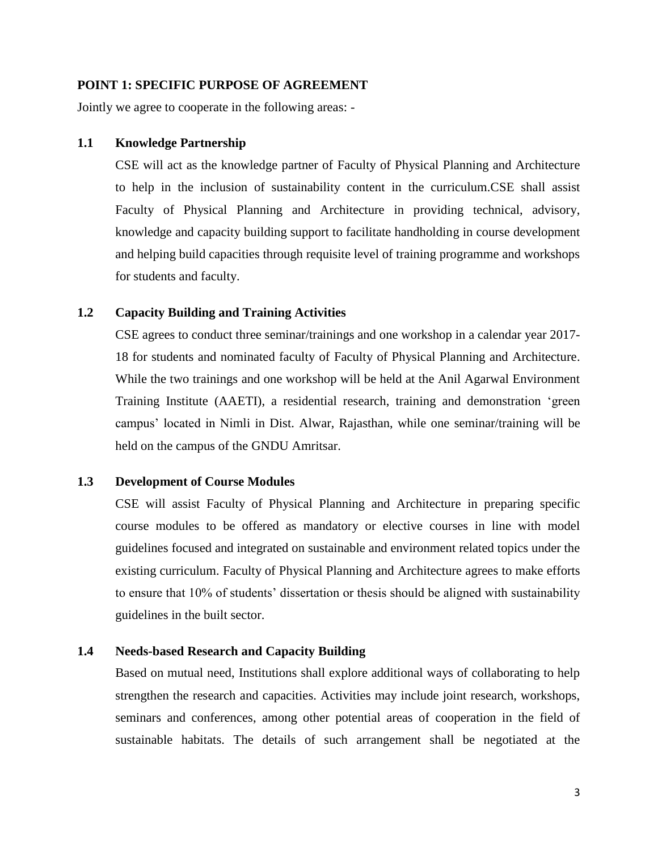#### **POINT 1: SPECIFIC PURPOSE OF AGREEMENT**

Jointly we agree to cooperate in the following areas: -

#### **1.1 Knowledge Partnership**

CSE will act as the knowledge partner of Faculty of Physical Planning and Architecture to help in the inclusion of sustainability content in the curriculum.CSE shall assist Faculty of Physical Planning and Architecture in providing technical, advisory, knowledge and capacity building support to facilitate handholding in course development and helping build capacities through requisite level of training programme and workshops for students and faculty.

## **1.2 Capacity Building and Training Activities**

CSE agrees to conduct three seminar/trainings and one workshop in a calendar year 2017- 18 for students and nominated faculty of Faculty of Physical Planning and Architecture. While the two trainings and one workshop will be held at the Anil Agarwal Environment Training Institute (AAETI), a residential research, training and demonstration 'green campus' located in Nimli in Dist. Alwar, Rajasthan, while one seminar/training will be held on the campus of the GNDU Amritsar.

## **1.3 Development of Course Modules**

CSE will assist Faculty of Physical Planning and Architecture in preparing specific course modules to be offered as mandatory or elective courses in line with model guidelines focused and integrated on sustainable and environment related topics under the existing curriculum. Faculty of Physical Planning and Architecture agrees to make efforts to ensure that 10% of students' dissertation or thesis should be aligned with sustainability guidelines in the built sector.

# **1.4 Needs-based Research and Capacity Building**

Based on mutual need, Institutions shall explore additional ways of collaborating to help strengthen the research and capacities. Activities may include joint research, workshops, seminars and conferences, among other potential areas of cooperation in the field of sustainable habitats. The details of such arrangement shall be negotiated at the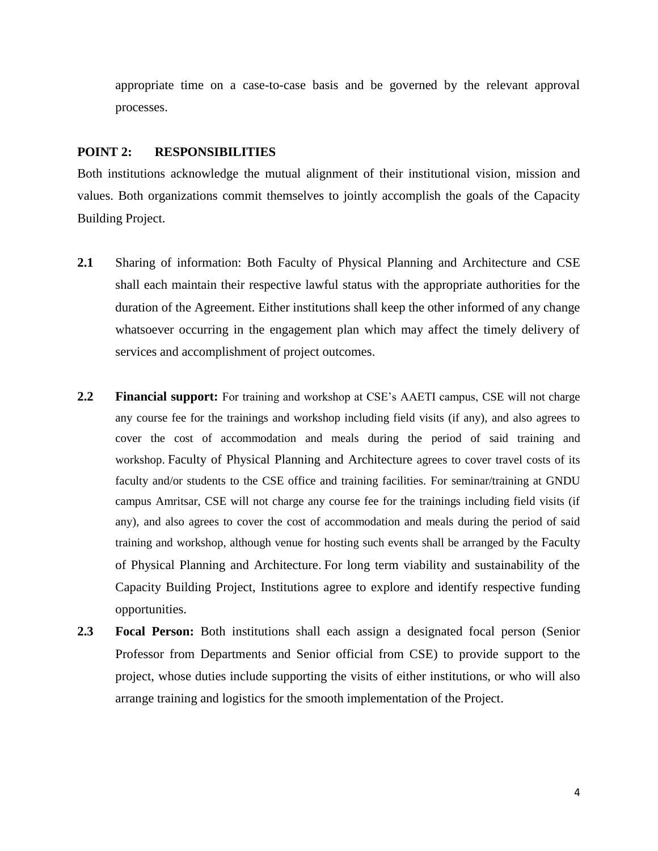appropriate time on a case-to-case basis and be governed by the relevant approval processes.

#### **POINT 2: RESPONSIBILITIES**

Both institutions acknowledge the mutual alignment of their institutional vision, mission and values. Both organizations commit themselves to jointly accomplish the goals of the Capacity Building Project.

- 2.1 Sharing of information: Both Faculty of Physical Planning and Architecture and CSE shall each maintain their respective lawful status with the appropriate authorities for the duration of the Agreement. Either institutions shall keep the other informed of any change whatsoever occurring in the engagement plan which may affect the timely delivery of services and accomplishment of project outcomes.
- **2.2 Financial support:** For training and workshop at CSE's AAETI campus, CSE will not charge any course fee for the trainings and workshop including field visits (if any), and also agrees to cover the cost of accommodation and meals during the period of said training and workshop. Faculty of Physical Planning and Architecture agrees to cover travel costs of its faculty and/or students to the CSE office and training facilities. For seminar/training at GNDU campus Amritsar, CSE will not charge any course fee for the trainings including field visits (if any), and also agrees to cover the cost of accommodation and meals during the period of said training and workshop, although venue for hosting such events shall be arranged by the Faculty of Physical Planning and Architecture. For long term viability and sustainability of the Capacity Building Project, Institutions agree to explore and identify respective funding opportunities.
- **2.3 Focal Person:** Both institutions shall each assign a designated focal person (Senior Professor from Departments and Senior official from CSE) to provide support to the project, whose duties include supporting the visits of either institutions, or who will also arrange training and logistics for the smooth implementation of the Project.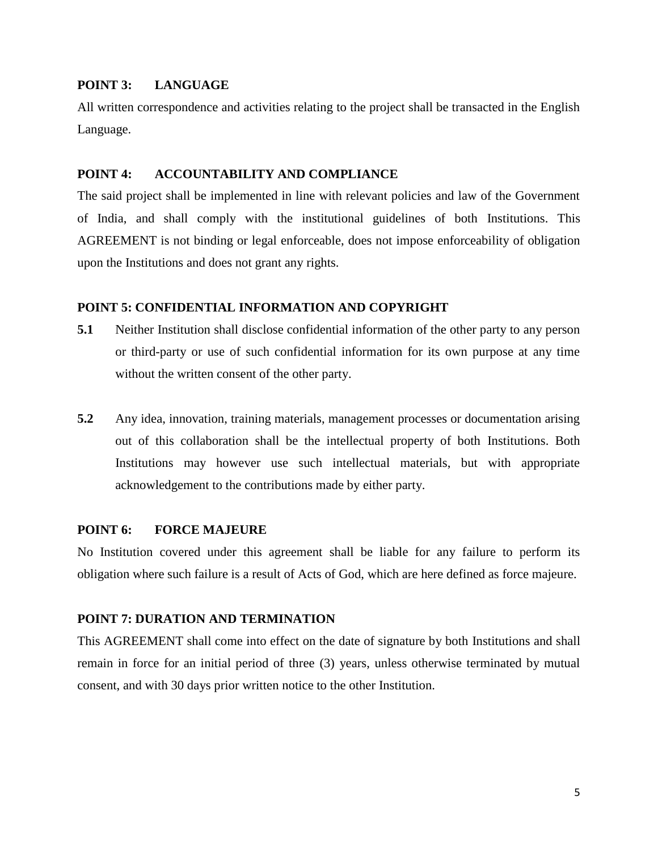# **POINT 3: LANGUAGE**

All written correspondence and activities relating to the project shall be transacted in the English Language.

## **POINT 4: ACCOUNTABILITY AND COMPLIANCE**

The said project shall be implemented in line with relevant policies and law of the Government of India, and shall comply with the institutional guidelines of both Institutions. This AGREEMENT is not binding or legal enforceable, does not impose enforceability of obligation upon the Institutions and does not grant any rights.

#### **POINT 5: CONFIDENTIAL INFORMATION AND COPYRIGHT**

- **5.1** Neither Institution shall disclose confidential information of the other party to any person or third-party or use of such confidential information for its own purpose at any time without the written consent of the other party.
- **5.2** Any idea, innovation, training materials, management processes or documentation arising out of this collaboration shall be the intellectual property of both Institutions. Both Institutions may however use such intellectual materials, but with appropriate acknowledgement to the contributions made by either party.

## **POINT 6: FORCE MAJEURE**

No Institution covered under this agreement shall be liable for any failure to perform its obligation where such failure is a result of Acts of God, which are here defined as force majeure.

#### **POINT 7: DURATION AND TERMINATION**

This AGREEMENT shall come into effect on the date of signature by both Institutions and shall remain in force for an initial period of three (3) years, unless otherwise terminated by mutual consent, and with 30 days prior written notice to the other Institution.